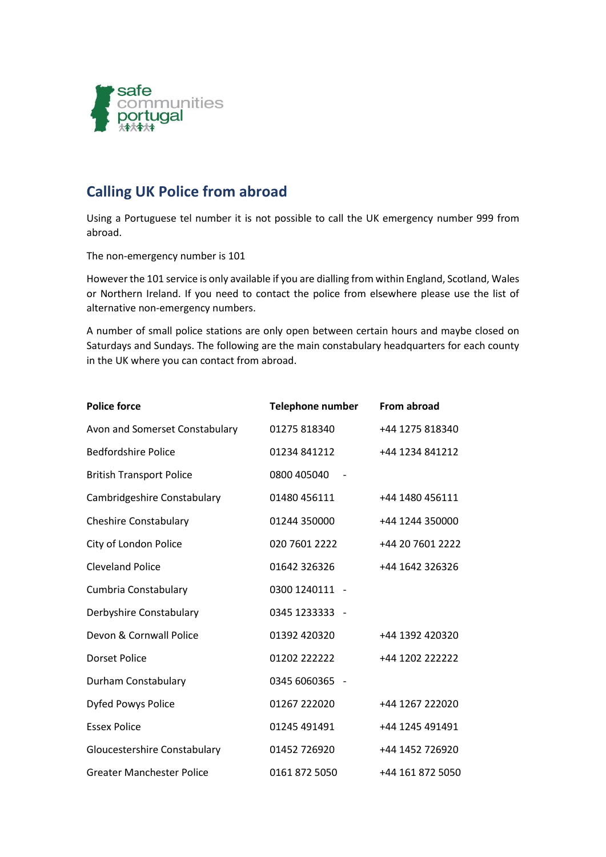

## **Calling UK Police from abroad**

Using a Portuguese tel number it is not possible to call the UK emergency number 999 from abroad.

The non-emergency number is 101

However the 101 service is only available if you are dialling from within England, Scotland, Wales or Northern Ireland. If you need to contact the police from elsewhere please use the list of alternative non-emergency numbers.

A number of small police stations are only open between certain hours and maybe closed on Saturdays and Sundays. The following are the main constabulary headquarters for each county in the UK where you can contact from abroad.

| <b>Police force</b>              | <b>Telephone number</b> | From abroad      |
|----------------------------------|-------------------------|------------------|
| Avon and Somerset Constabulary   | 01275 818340            | +44 1275 818340  |
| <b>Bedfordshire Police</b>       | 01234 841212            | +44 1234 841212  |
| <b>British Transport Police</b>  | 0800 405040             |                  |
| Cambridgeshire Constabulary      | 01480 456111            | +44 1480 456111  |
| <b>Cheshire Constabulary</b>     | 01244 350000            | +44 1244 350000  |
| City of London Police            | 020 7601 2222           | +44 20 7601 2222 |
| <b>Cleveland Police</b>          | 01642 326326            | +44 1642 326326  |
| Cumbria Constabulary             | 0300 1240111 -          |                  |
| Derbyshire Constabulary          | 0345 1233333 -          |                  |
| Devon & Cornwall Police          | 01392 420320            | +44 1392 420320  |
| <b>Dorset Police</b>             | 01202 222222            | +44 1202 222222  |
| Durham Constabulary              | 0345 6060365 -          |                  |
| <b>Dyfed Powys Police</b>        | 01267 222020            | +44 1267 222020  |
| <b>Essex Police</b>              | 01245 491491            | +44 1245 491491  |
| Gloucestershire Constabulary     | 01452 726920            | +44 1452 726920  |
| <b>Greater Manchester Police</b> | 0161 872 5050           | +44 161 872 5050 |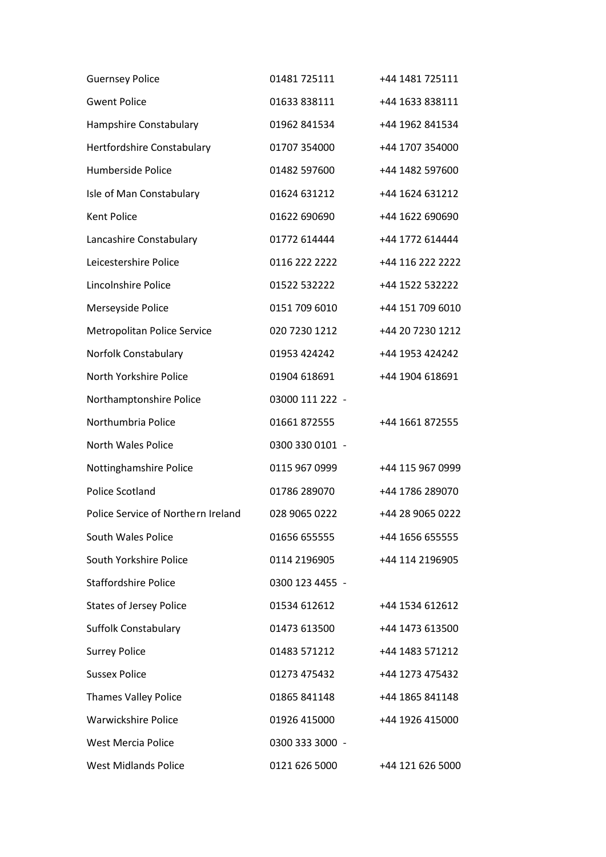| <b>Guernsey Police</b>             | 01481 725111    | +44 1481 725111  |
|------------------------------------|-----------------|------------------|
| <b>Gwent Police</b>                | 01633 838111    | +44 1633 838111  |
| Hampshire Constabulary             | 01962 841534    | +44 1962 841534  |
| Hertfordshire Constabulary         | 01707 354000    | +44 1707 354000  |
| Humberside Police                  | 01482 597600    | +44 1482 597600  |
| Isle of Man Constabulary           | 01624 631212    | +44 1624 631212  |
| Kent Police                        | 01622 690690    | +44 1622 690690  |
| Lancashire Constabulary            | 01772 614444    | +44 1772 614444  |
| Leicestershire Police              | 0116 222 2222   | +44 116 222 2222 |
| Lincolnshire Police                | 01522 532222    | +44 1522 532222  |
| Merseyside Police                  | 0151 709 6010   | +44 151 709 6010 |
| <b>Metropolitan Police Service</b> | 020 7230 1212   | +44 20 7230 1212 |
| Norfolk Constabulary               | 01953 424242    | +44 1953 424242  |
| North Yorkshire Police             | 01904 618691    | +44 1904 618691  |
| Northamptonshire Police            | 03000 111 222 - |                  |
| Northumbria Police                 | 01661 872555    | +44 1661 872555  |
| North Wales Police                 | 0300 330 0101 - |                  |
| Nottinghamshire Police             | 0115 967 0999   | +44 115 967 0999 |
| Police Scotland                    | 01786 289070    | +44 1786 289070  |
| Police Service of Northern Ireland | 028 9065 0222   | +44 28 9065 0222 |
| South Wales Police                 | 01656 655555    | +44 1656 655555  |
| South Yorkshire Police             | 0114 2196905    | +44 114 2196905  |
| <b>Staffordshire Police</b>        | 0300 123 4455 - |                  |
| <b>States of Jersey Police</b>     | 01534 612612    | +44 1534 612612  |
| <b>Suffolk Constabulary</b>        | 01473 613500    | +44 1473 613500  |
| <b>Surrey Police</b>               | 01483 571212    | +44 1483 571212  |
| <b>Sussex Police</b>               | 01273 475432    | +44 1273 475432  |
| <b>Thames Valley Police</b>        | 01865 841148    | +44 1865 841148  |
| <b>Warwickshire Police</b>         | 01926 415000    | +44 1926 415000  |
| West Mercia Police                 | 0300 333 3000 - |                  |
| <b>West Midlands Police</b>        | 0121 626 5000   | +44 121 626 5000 |